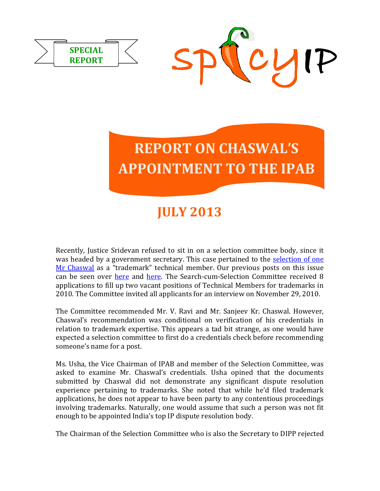



## **JULY 2013**

Recently, Justice Sridevan refused to sit in on a selection committee body, since it was headed by a government secretary. This case pertained to the selection of one [Mr Chaswal](http://spicyipindia.blogspot.in/2012/10/more-controversy-during-appointments-to.html) as a "trademark" technical member. Our previous posts on this issue can be seen over [here](http://spicyipindia.blogspot.in/2012/10/more-controversy-during-appointments-to.html) and [here.](http://spicyipindia.blogspot.in/2013/04/ipab-complains-yet-again-about-lack-of.html) The Search-cum-Selection Committee received 8 applications to fill up two vacant positions of Technical Members for trademarks in 2010. The Committee invited all applicants for an interview on November 29, 2010.

The Committee recommended Mr. V. Ravi and Mr. Sanjeev Kr. Chaswal. However, Chaswal's recommendation was conditional on verification of his credentials in relation to trademark expertise. This appears a tad bit strange, as one would have expected a selection committee to first do a credentials check before recommending someone's name for a post.

Ms. Usha, the Vice Chairman of IPAB and member of the Selection Committee, was asked to examine Mr. Chaswal's credentials. Usha opined that the documents submitted by Chaswal did not demonstrate any significant dispute resolution experience pertaining to trademarks. She noted that while he'd filed trademark applications, he does not appear to have been party to any contentious proceedings involving trademarks. Naturally, one would assume that such a person was not fit enough to be appointed India's top IP dispute resolution body.

The Chairman of the Selection Committee who is also the Secretary to DIPP rejected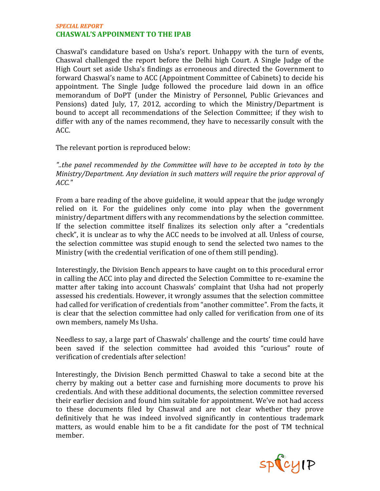## *SPECIAL REPORT* **CHASWAL'S APPOINMENT TO THE IPAB**

Chaswal's candidature based on Usha's report. Unhappy with the turn of events, Chaswal challenged the report before the Delhi high Court. A Single Judge of the High Court set aside Usha's findings as erroneous and directed the Government to forward Chaswal's name to ACC (Appointment Committee of Cabinets) to decide his appointment. The Single Judge followed the procedure laid down in an office memorandum of DoPT (under the Ministry of Personnel, Public Grievances and Pensions) dated July, 17, 2012, according to which the Ministry/Department is bound to accept all recommendations of the Selection Committee; if they wish to differ with any of the names recommend, they have to necessarily consult with the ACC.

The relevant portion is reproduced below:

*"..the panel recommended by the Committee will have to be accepted in toto by the Ministry/Department. Any deviation in such matters will require the prior approval of ACC."*

From a bare reading of the above guideline, it would appear that the judge wrongly relied on it. For the guidelines only come into play when the government ministry/department differs with any recommendations by the selection committee. If the selection committee itself finalizes its selection only after a "credentials check", it is unclear as to why the ACC needs to be involved at all. Unless of course, the selection committee was stupid enough to send the selected two names to the Ministry (with the credential verification of one of them still pending).

Interestingly, the Division Bench appears to have caught on to this procedural error in calling the ACC into play and directed the Selection Committee to re-examine the matter after taking into account Chaswals' complaint that Usha had not properly assessed his credentials. However, it wrongly assumes that the selection committee had called for verification of credentials from "another committee". From the facts, it is clear that the selection committee had only called for verification from one of its own members, namely Ms Usha.

Needless to say, a large part of Chaswals' challenge and the courts' time could have been saved if the selection committee had avoided this "curious" route of verification of credentials after selection!

Interestingly, the Division Bench permitted Chaswal to take a second bite at the cherry by making out a better case and furnishing more documents to prove his credentials. And with these additional documents, the selection committee reversed their earlier decision and found him suitable for appointment. We've not had access to these documents filed by Chaswal and are not clear whether they prove definitively that he was indeed involved significantly in contentious trademark matters, as would enable him to be a fit candidate for the post of TM technical member.